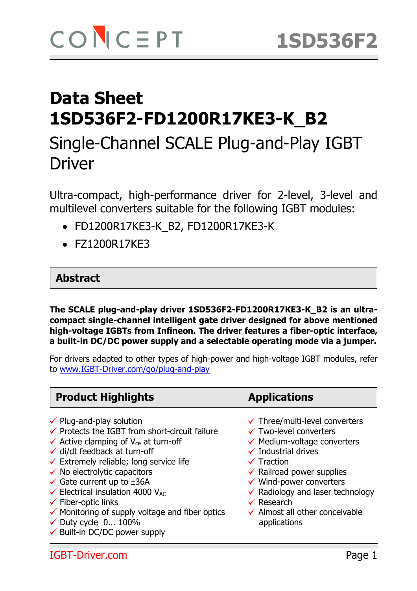# Single-Channel SCALE Plug-and-Play IGBT Driver

Ultra-compact, high-performance driver for 2-level, 3-level and multilevel converters suitable for the following IGBT modules:

- FD1200R17KE3-K\_B2, FD1200R17KE3-K
- FZ1200R17KE3

#### **Abstract**

**The SCALE plug-and-play driver 1SD536F2-FD1200R17KE3-K\_B2 is an ultracompact single-channel intelligent gate driver designed for above mentioned high-voltage IGBTs from Infineon. The driver features a fiber-optic interface, a built-in DC/DC power supply and a selectable operating mode via a jumper.** 

For drivers adapted to other types of high-power and high-voltage IGBT modules, refer to www.IGBT-Driver.com/go/plug-and-play

# **Product Highlights Applications**

- 
- $\checkmark$  Protects the IGBT from short-circuit failure  $\checkmark$  Two-level converters
- $\checkmark$  Active clamping of V<sub>ce</sub> at turn-off  $\checkmark$  Medium-voltage converters
- $\checkmark$  di/dt feedback at turn-off  $\checkmark$  Industrial drives
- $\checkmark$  Extremely reliable; long service life  $\checkmark$  Traction
- $\checkmark$  No electrolytic capacitors  $\checkmark$  Railroad power supplies
- $\checkmark$  Gate current up to  $\pm 36A$   $\checkmark$  Wind-power converters
- [ Fiber-optic links [ Research
- 
- $\checkmark$  Fiber-optic links<br>  $\checkmark$  Monitoring of supply voltage and fiber optics  $\checkmark$  Almost all other conceivable
- $\checkmark$  Duty cycle 0... 100% applications
- $\checkmark$  Built-in DC/DC power supply
- 
- $\checkmark$  Plug-and-play solution  $\checkmark$  Three/multi-level converters
	-
	-
	-
	-
	-
	-
- $\checkmark$  Gate current up to ±36A  $\checkmark$  build-power converters<br> $\checkmark$  Electrical insulation 4000 V<sub>AC</sub>  $\checkmark$  Radiology and laser technology
	-
	-

IGBT-Driver.com Page 1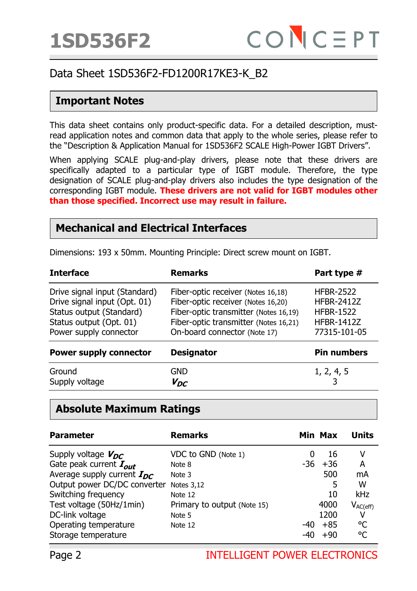#### **Important Notes**

This data sheet contains only product-specific data. For a detailed description, mustread application notes and common data that apply to the whole series, please refer to the "Description & Application Manual for 1SD536F2 SCALE High-Power IGBT Drivers".

When applying SCALE plug-and-play drivers, please note that these drivers are specifically adapted to a particular type of IGBT module. Therefore, the type designation of SCALE plug-and-play drivers also includes the type designation of the corresponding IGBT module. **These drivers are not valid for IGBT modules other than those specified. Incorrect use may result in failure.**

#### **Mechanical and Electrical Interfaces**

Dimensions: 193 x 50mm. Mounting Principle: Direct screw mount on IGBT.

| <b>Interface</b>                                                                                                                               | <b>Remarks</b>                                                                                                                                                                             | Part type #                                                                                    |  |
|------------------------------------------------------------------------------------------------------------------------------------------------|--------------------------------------------------------------------------------------------------------------------------------------------------------------------------------------------|------------------------------------------------------------------------------------------------|--|
| Drive signal input (Standard)<br>Drive signal input (Opt. 01)<br>Status output (Standard)<br>Status output (Opt. 01)<br>Power supply connector | Fiber-optic receiver (Notes 16,18)<br>Fiber-optic receiver (Notes 16,20)<br>Fiber-optic transmitter (Notes 16,19)<br>Fiber-optic transmitter (Notes 16,21)<br>On-board connector (Note 17) | <b>HFBR-2522</b><br><b>HFBR-2412Z</b><br><b>HFBR-1522</b><br><b>HFBR-1412Z</b><br>77315-101-05 |  |
| <b>Power supply connector</b>                                                                                                                  | <b>Designator</b>                                                                                                                                                                          | <b>Pin numbers</b>                                                                             |  |
| Ground<br>Supply voltage                                                                                                                       | <b>GND</b><br>$V_{DC}$                                                                                                                                                                     | 1, 2, 4, 5<br>3                                                                                |  |

#### **Absolute Maximum Ratings**

| <b>Parameter</b>                | <b>Remarks</b>              |       | Min Max | <b>Units</b>  |
|---------------------------------|-----------------------------|-------|---------|---------------|
| Supply voltage $V_{DC}$         | VDC to GND (Note 1)         |       | 16      | ۷             |
| Gate peak current $I_{out}$     | Note 8                      | -36   | $+36$   | A             |
| Average supply current $I_{DC}$ | Note 3                      |       | 500     | mA            |
| Output power DC/DC converter    | <b>Notes 3,12</b>           |       | 5       | W             |
| Switching frequency             | Note 12                     |       | 10      | kHz           |
| Test voltage (50Hz/1min)        | Primary to output (Note 15) |       | 4000    | $V_{AC(eff)}$ |
| DC-link voltage                 | Note 5                      |       | 1200    | ۷             |
| Operating temperature           | Note 12                     | -40   | $+85$   | °C            |
| Storage temperature             |                             | $-4c$ | $+90$   | °C            |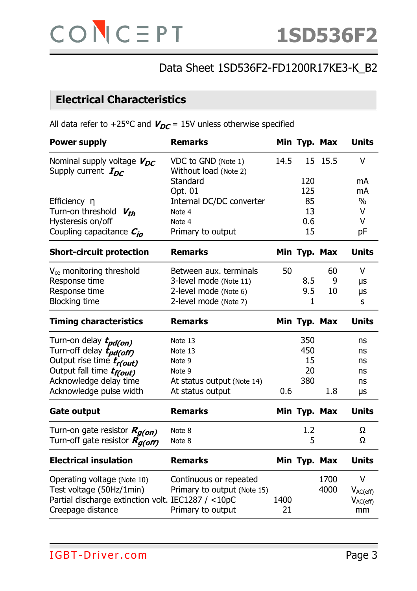## **Electrical Characteristics**

All data refer to +25°C and  $V_{DC}$  = 15V unless otherwise specified

| <b>Power supply</b>                                        | <b>Remarks</b>                               |      | Min Typ. Max |         | <b>Units</b>  |
|------------------------------------------------------------|----------------------------------------------|------|--------------|---------|---------------|
| Nominal supply voltage $V_{DC}$<br>Supply current $I_{DC}$ | VDC to GND (Note 1)<br>Without load (Note 2) | 14.5 |              | 15 15.5 | $\vee$        |
|                                                            | Standard                                     |      | 120          |         | mA            |
|                                                            | Opt. 01                                      |      | 125          |         | mA            |
| Efficiency $\eta$<br>Turn-on threshold $V_{th}$            | Internal DC/DC converter<br>Note 4           |      | 85<br>13     |         | $\%$<br>V     |
| Hysteresis on/off                                          | Note 4                                       |      | 0.6          |         | V             |
| Coupling capacitance $C_{io}$                              | Primary to output                            |      | 15           |         | рF            |
| <b>Short-circuit protection</b>                            | <b>Remarks</b>                               |      | Min Typ. Max |         | <b>Units</b>  |
| V <sub>ce</sub> monitoring threshold                       | Between aux. terminals                       | 50   |              | 60      | V             |
| Response time                                              | 3-level mode (Note 11)                       |      | 8.5          | 9       | μs            |
| Response time                                              | 2-level mode (Note 6)                        |      | 9.5          | 10      | μs            |
| <b>Blocking time</b>                                       | 2-level mode (Note 7)                        |      | 1            |         | S             |
| <b>Timing characteristics</b>                              | <b>Remarks</b>                               |      | Min Typ. Max |         | <b>Units</b>  |
| Turn-on delay <i>t<sub>pd(on)</sub></i>                    | Note 13                                      |      | 350          |         | ns            |
| Turn-off delay t <sub>pd(off)</sub>                        | Note 13                                      |      | 450          |         | ns            |
| Output rise time tr(out)                                   | Note 9                                       |      | 15           |         | ns            |
| Output fall time tr(out)                                   | Note 9                                       |      | 20           |         | ns            |
| Acknowledge delay time                                     | At status output (Note 14)                   |      | 380          |         | ns            |
| Acknowledge pulse width                                    | At status output                             | 0.6  |              | 1.8     | μs            |
| <b>Gate output</b>                                         | <b>Remarks</b>                               |      | Min Typ. Max |         | <b>Units</b>  |
| Turn-on gate resistor Rg(on)                               | Note 8                                       |      | 1.2          |         | Ω             |
| Turn-off gate resistor Rg(off)                             | Note 8                                       |      | 5            |         | Ω             |
| <b>Electrical insulation</b>                               | <b>Remarks</b>                               |      | Min Typ. Max |         | <b>Units</b>  |
| Operating voltage (Note 10)                                | Continuous or repeated                       |      |              | 1700    | $\vee$        |
| Test voltage (50Hz/1min)                                   | Primary to output (Note 15)                  |      |              | 4000    | $V_{AC(eff)}$ |
| Partial discharge extinction volt. IEC1287 / <10pC         |                                              | 1400 |              |         | $V_{AC(eff)}$ |
| Creepage distance                                          | Primary to output                            | 21   |              |         | mm            |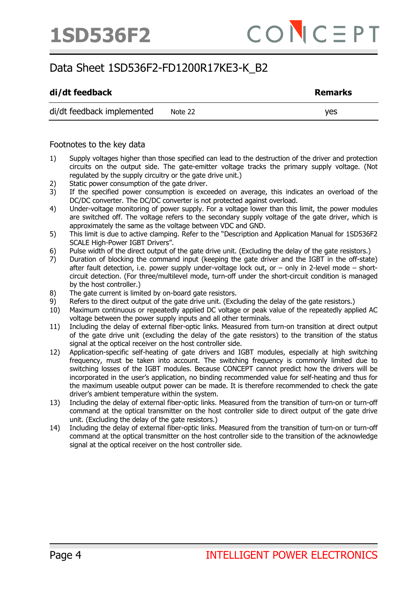#### di/dt feedback **Remarks Remarks**

di/dt feedback implemented Note 22

Footnotes to the key data

- 1) Supply voltages higher than those specified can lead to the destruction of the driver and protection circuits on the output side. The gate-emitter voltage tracks the primary supply voltage. (Not regulated by the supply circuitry or the gate drive unit.)
- 2) Static power consumption of the gate driver.
- 3) If the specified power consumption is exceeded on average, this indicates an overload of the DC/DC converter. The DC/DC converter is not protected against overload.
- 4) Under-voltage monitoring of power supply. For a voltage lower than this limit, the power modules are switched off. The voltage refers to the secondary supply voltage of the gate driver, which is approximately the same as the voltage between VDC and GND.
- 5) This limit is due to active clamping. Refer to the "Description and Application Manual for 1SD536F2 SCALE High-Power IGBT Drivers".
- 6) Pulse width of the direct output of the gate drive unit. (Excluding the delay of the gate resistors.)
- 7) Duration of blocking the command input (keeping the gate driver and the IGBT in the off-state) after fault detection, i.e. power supply under-voltage lock out, or – only in 2-level mode – shortcircuit detection. (For three/multilevel mode, turn-off under the short-circuit condition is managed by the host controller.)
- 8) The gate current is limited by on-board gate resistors.
- 9) Refers to the direct output of the gate drive unit. (Excluding the delay of the gate resistors.)
- 10) Maximum continuous or repeatedly applied DC voltage or peak value of the repeatedly applied AC voltage between the power supply inputs and all other terminals.
- 11) Including the delay of external fiber-optic links. Measured from turn-on transition at direct output of the gate drive unit (excluding the delay of the gate resistors) to the transition of the status signal at the optical receiver on the host controller side.
- 12) Application-specific self-heating of gate drivers and IGBT modules, especially at high switching frequency, must be taken into account. The switching frequency is commonly limited due to switching losses of the IGBT modules. Because CONCEPT cannot predict how the drivers will be incorporated in the user's application, no binding recommended value for self-heating and thus for the maximum useable output power can be made. It is therefore recommended to check the gate driver's ambient temperature within the system.
- 13) Including the delay of external fiber-optic links. Measured from the transition of turn-on or turn-off command at the optical transmitter on the host controller side to direct output of the gate drive unit. (Excluding the delay of the gate resistors.)
- 14) Including the delay of external fiber-optic links. Measured from the transition of turn-on or turn-off command at the optical transmitter on the host controller side to the transition of the acknowledge signal at the optical receiver on the host controller side.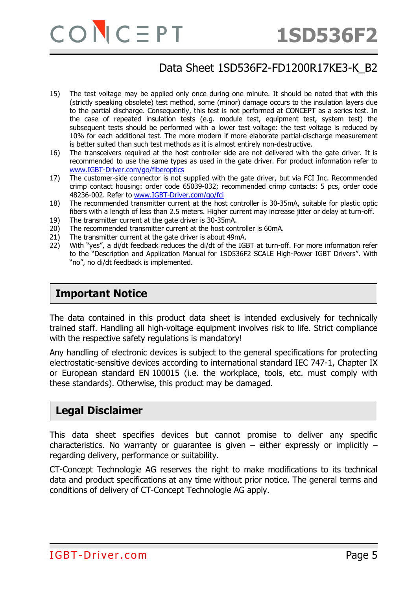- 15) The test voltage may be applied only once during one minute. It should be noted that with this (strictly speaking obsolete) test method, some (minor) damage occurs to the insulation layers due to the partial discharge. Consequently, this test is not performed at CONCEPT as a series test. In the case of repeated insulation tests (e.g. module test, equipment test, system test) the subsequent tests should be performed with a lower test voltage: the test voltage is reduced by 10% for each additional test. The more modern if more elaborate partial-discharge measurement is better suited than such test methods as it is almost entirely non-destructive.
- 16) The transceivers required at the host controller side are not delivered with the gate driver. It is recommended to use the same types as used in the gate driver. For product information refer to [www.IGBT-Driver.com/go/fiberoptics](http://www.igbt-driver.com/go/fiberoptics)
- 17) The customer-side connector is not supplied with the gate driver, but via FCI Inc. Recommended crimp contact housing: order code 65039-032; recommended crimp contacts: 5 pcs, order code 48236-002. Refer to [www.IGBT-Driver.com/go/fci](http://www.igbt-driver.com/go/fci)
- 18) The recommended transmitter current at the host controller is 30-35mA, suitable for plastic optic fibers with a length of less than 2.5 meters. Higher current may increase jitter or delay at turn-off.
- 19) The transmitter current at the gate driver is 30-35mA.
- 20) The recommended transmitter current at the host controller is 60mA.
- 21) The transmitter current at the gate driver is about 49mA.
- 22) With "yes", a di/dt feedback reduces the di/dt of the IGBT at turn-off. For more information refer to the "Description and Application Manual for 1SD536F2 SCALE High-Power IGBT Drivers". With "no", no di/dt feedback is implemented.

#### **Important Notice**

The data contained in this product data sheet is intended exclusively for technically trained staff. Handling all high-voltage equipment involves risk to life. Strict compliance with the respective safety regulations is mandatory!

Any handling of electronic devices is subject to the general specifications for protecting electrostatic-sensitive devices according to international standard IEC 747-1, Chapter IX or European standard EN 100015 (i.e. the workplace, tools, etc. must comply with these standards). Otherwise, this product may be damaged.

#### **Legal Disclaimer**

This data sheet specifies devices but cannot promise to deliver any specific characteristics. No warranty or guarantee is given  $-$  either expressly or implicitly  $$ regarding delivery, performance or suitability.

CT-Concept Technologie AG reserves the right to make modifications to its technical data and product specifications at any time without prior notice. The general terms and conditions of delivery of CT-Concept Technologie AG apply.